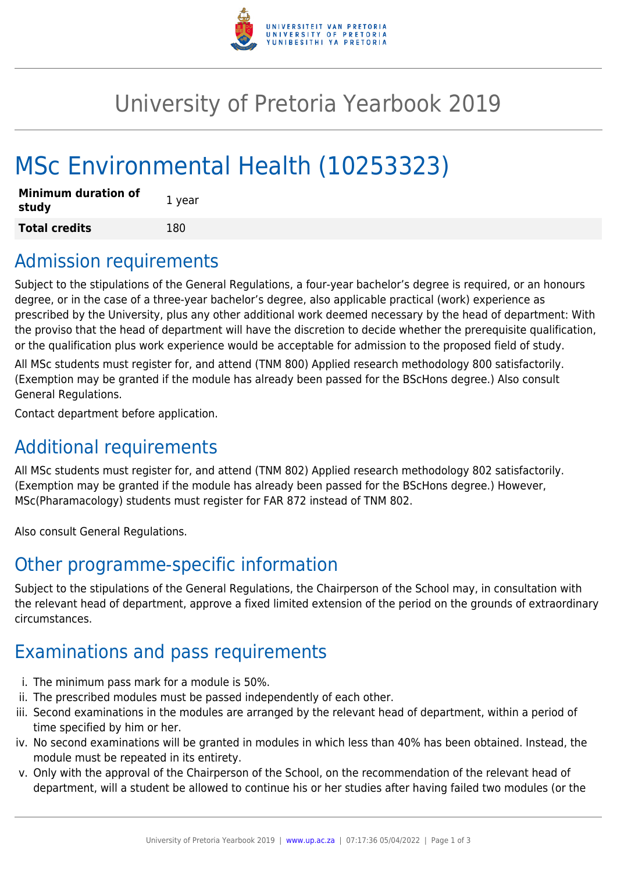

# University of Pretoria Yearbook 2019

# MSc Environmental Health (10253323)

| <b>Minimum duration of</b><br>study | 1 year |
|-------------------------------------|--------|
| <b>Total credits</b>                | 180    |

# Admission requirements

Subject to the stipulations of the General Regulations, a four-year bachelor's degree is required, or an honours degree, or in the case of a three-year bachelor's degree, also applicable practical (work) experience as prescribed by the University, plus any other additional work deemed necessary by the head of department: With the proviso that the head of department will have the discretion to decide whether the prerequisite qualification, or the qualification plus work experience would be acceptable for admission to the proposed field of study.

All MSc students must register for, and attend (TNM 800) Applied research methodology 800 satisfactorily. (Exemption may be granted if the module has already been passed for the BScHons degree.) Also consult General Regulations.

Contact department before application.

# Additional requirements

All MSc students must register for, and attend (TNM 802) Applied research methodology 802 satisfactorily. (Exemption may be granted if the module has already been passed for the BScHons degree.) However, MSc(Pharamacology) students must register for FAR 872 instead of TNM 802.

Also consult General Regulations.

# Other programme-specific information

Subject to the stipulations of the General Regulations, the Chairperson of the School may, in consultation with the relevant head of department, approve a fixed limited extension of the period on the grounds of extraordinary circumstances.

# Examinations and pass requirements

- i. The minimum pass mark for a module is 50%.
- ii. The prescribed modules must be passed independently of each other.
- iii. Second examinations in the modules are arranged by the relevant head of department, within a period of time specified by him or her.
- iv. No second examinations will be granted in modules in which less than 40% has been obtained. Instead, the module must be repeated in its entirety.
- v. Only with the approval of the Chairperson of the School, on the recommendation of the relevant head of department, will a student be allowed to continue his or her studies after having failed two modules (or the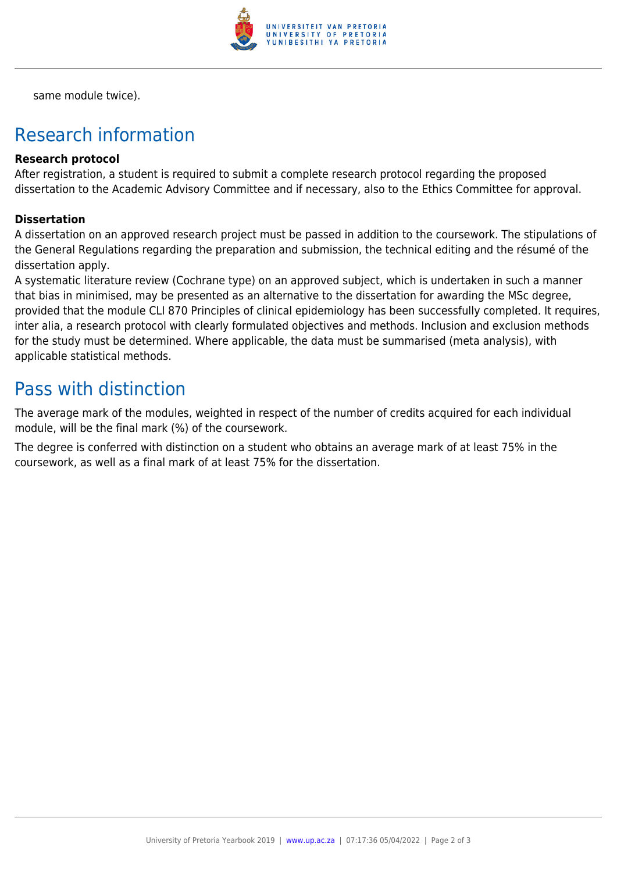

same module twice).

# Research information

#### **Research protocol**

After registration, a student is required to submit a complete research protocol regarding the proposed dissertation to the Academic Advisory Committee and if necessary, also to the Ethics Committee for approval.

#### **Dissertation**

A dissertation on an approved research project must be passed in addition to the coursework. The stipulations of the General Regulations regarding the preparation and submission, the technical editing and the résumé of the dissertation apply.

A systematic literature review (Cochrane type) on an approved subject, which is undertaken in such a manner that bias in minimised, may be presented as an alternative to the dissertation for awarding the MSc degree, provided that the module CLI 870 Principles of clinical epidemiology has been successfully completed. It requires, inter alia, a research protocol with clearly formulated objectives and methods. Inclusion and exclusion methods for the study must be determined. Where applicable, the data must be summarised (meta analysis), with applicable statistical methods.

### Pass with distinction

The average mark of the modules, weighted in respect of the number of credits acquired for each individual module, will be the final mark (%) of the coursework.

The degree is conferred with distinction on a student who obtains an average mark of at least 75% in the coursework, as well as a final mark of at least 75% for the dissertation.